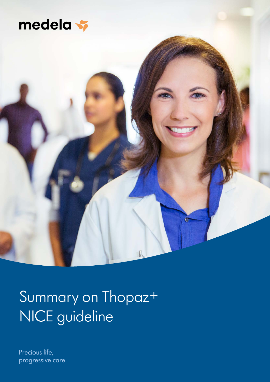



# Summary on Thopaz+ NICE guideline

Precious life, progressive care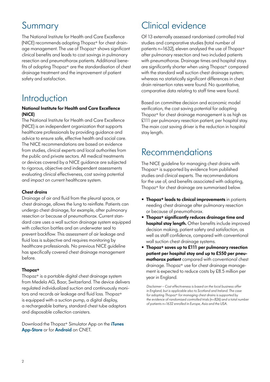## Summary

The National Institute for Health and Care Excellence (NICE) recommends adopting Thopaz+ for chest drainage management. The use of Thopaz+ shows significant clinical benefits and leads to cost savings in pulmonary resection and pneumothorax patients. Additional benefits of adopting Thopaz+ are the standardisation of chest drainage treatment and the improvement of patient safety and satisfaction.

## **Introduction**

### **National Institute for Health and Care Excellence (NICE)**

The National Institute for Health and Care Excellence (NICE) is an independent organization that supports healthcare professionals by providing guidance and advice to ensure safe, effective health and social care. The NICE recommendations are based on evidence from studies, clinical experts and local authorities from the public and private sectors. All medical treatments or devices covered by a NICE guidance are subjected to rigorous, objective and independent assessments evaluating clinical effectiveness, cost saving potential and impact on current healthcare system.

## **Chest drains**

Drainage of air and fluid from the pleural space, or chest drainage, allows the lung to reinflate. Patients can undergo chest drainage, for example, after pulmonary resection or because of pneumothorax. Current standard care uses a wall suction drainage system equipped with collection bottles and an underwater seal to prevent backflow. This assessment of air leakage and fluid loss is subjective and requires monitoring by healthcare professionals. No previous NICE guideline has specifically covered chest drainage management before.

### **Thopaz+**

Thopaz+ is a portable digital chest drainage system from Medela AG, Baar, Switzerland. The device delivers regulated individualized suction and continuously monitors and records air leakage and fluid loss. Thopaz+ is equipped with a suction pump, a digital display, a rechargeable battery, standard chest tube adaptors and disposable collection canisters.

Download the Thopaz+ Simulator App on the **iTunes App-Store** or for **Android** on CNET.

## Clinical evidence

Of 13 externally assessed randomised controlled trial studies and comparative studies (total number of patients n=1632), eleven analysed the use of Thopaz+ after pulmonary resection and two included patients with pneumothorax. Drainage times and hospital stays are significantly shorter when using Thopaz<sup>+</sup> compared with the standard wall suction chest drainage system; whereas no statistically significant differences in chest drain reinsertion rates were found. No quantitative, comparative data relating to staff time were found.

Based on committee decision and economic model verification, the cost saving potential for adopting Thopaz+ for chest drainage management is as high as £111 per pulmonary resection patient, per hospital stay. The main cost saving driver is the reduction in hospital stay length.

## Recommendations

The NICE guideline for managing chest drains with Thopaz+ is supported by evidence from published studies and clinical experts. The recommendations for the use of, and benefits associated with adopting, Thopaz+ for chest drainage are summarised below.

- **Thopaz+ leads to clinical improvements** in patients needing chest drainage after pulmonary resection or because of pneumothorax.
- **Thopaz+ significantly reduces drainage time and hospital stay length.** Other benefits include improved decision making, patient safety and satisfaction, as well as staff confidence, compared with conventional wall suction chest drainage systems.
- **Thopaz+ saves up to £111 per pulmonary resection patient per hospital stay and up to £550 per pneumothorax patient** compared with conventional chest drainage. Thopaz+ use for chest drainage management is expected to reduce costs by £8.5 million per year in England.

*Disclaimer – Cost effectiveness is based on the local business offer in England, but is applicable also to Scotland and Ireland. The case for adopting Thopaz+ for managing chest drains is supported by the evidence of randomised controlled trials (n=826) and a total number of patients n=1632 enrolled in Europe, Asia and the USA.*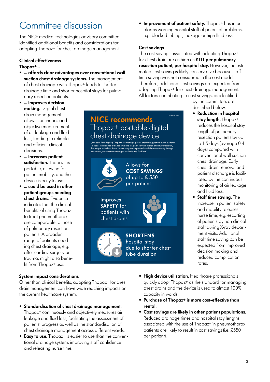## Committee discussion

The NICE medical technologies advisory committee identified additional benefits and considerations for adopting Thopaz+ for chest drainage management.

## **Clinical effectiveness**

## **Thopaz+…**

- **… affords clear advantages over conventional wall suction chest drainage systems.** The management of chest drainage with Thopaz<sup>+</sup> leads to shorter drainage time and shorter hospital stays for pulmonary resection patients.
- **… improves decision making.** Digital chest drain management allows continuous and objective measurement of air leakage and fluid loss, leading to reliable and efficient clinical decisions.
- **… increases patient satisfaction.** Thopaz+ is portable, allowing for patient mobility, and the device is easy to use.
- **… could be used in other patient groups needing chest drains.** Evidence indicates that the clinical benefits of using Thopaz+ to treat pneumothorax are comparable to those of pulmonary resection patients. A broader range of patients needing chest drainage, e.g. after cardiac surgery or trauma, might also benefit from Thopaz+ use.

## **System impact considerations**

Other than clinical benefits, adopting Thopaz+ for chest drain management can have wide reaching impacts on the current healthcare system.

- **Standardisation of chest drainage management.**  Thopaz+ continuously and objectively measures air leakage and fluid loss, facilitating the assessment of patients' progress as well as the standardisation of chest drainage management across different wards.
- **Easy to use.** Thopaz<sup>+</sup> is easier to use than the conventional drainage system, improving staff confidence and releasing nurse time.

**• Improvement of patient safety.** Thopaz<sup>+</sup> has in built alarms warning hospital staff of potential problems, e.g. blocked tubings, leakage or high fluid loss.

## **Cost savings**

The cost savings associated with adopting Thopaz+ for chest drain are as high as **£111 per pulmonary resection patient, per hospital stay.** However, the estimated cost saving is likely conservative because staff time saving was not considered in the cost model. Therefore, additional cost savings are expected from adopting Thopaz+ for chest drainage management. All factors contributing to cost savings, as identified

21-March-2018

by the committee, are described below.

- **Reduction in hospital stay length.** Thopaz+ reduces the hospital stay length of pulmonary resection patients by up to 1.5 days (average 0.4 days) compared with conventional wall suction chest drainage. Early chest drain removal and patient discharge is facilitated by the continuous monitoring of air leakage and fluid loss.
- **Staff time saving.** The increase in patient safety and mobility releases nurse time, e.g. escorting of patients by non clinical staff during X-ray department visits. Additional staff time saving can be expected from improved decision making and reduced complication rates.
- "The case for adopting Thopaz<sup>+</sup> for managing chest drains is supported by the evidence. Thopaz+ can reduce drainage time and length of stay in hospital, and improves safety for people with chest drains. Its use may also improve clinical decision-making through continuous, objective monitoring of air leaks and fluid loss." Allows for **COST SAVINGS** of up to £ 550 per patient **SHORTENS**  hospital stay due to shorter chest tube duration Improves **SAFETY** for patients with chest drains **NICE recommends**  Thopaz<sup>+</sup> portable digital chest drainage device
	- **High device utilisation.** Healthcare professionals quickly adopt Thopaz+ as the standard for managing chest drains and the device is used to almost 100% capacity in wards.
	- **Purchase of Thopaz+ is more cost-effective than rental.**
	- **Cost savings are likely in other patient populations.**  Reduced drainage times and hospital stay lengths associated with the use of Thopaz+ in pneumothorax patients are likely to result in cost savings (i.e. £550 per patient).